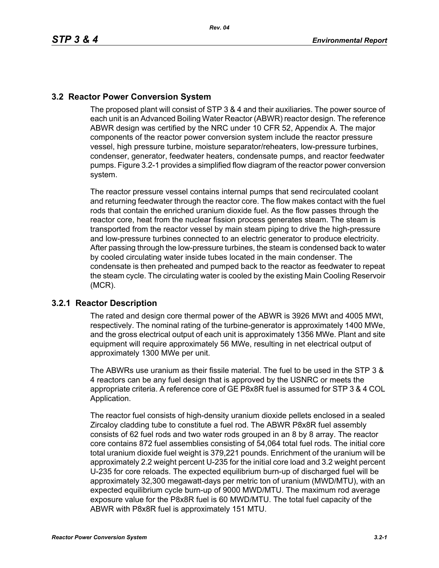## **3.2 Reactor Power Conversion System**

The proposed plant will consist of STP 3 & 4 and their auxiliaries. The power source of each unit is an Advanced Boiling Water Reactor (ABWR) reactor design. The reference ABWR design was certified by the NRC under 10 CFR 52, Appendix A. The major components of the reactor power conversion system include the reactor pressure vessel, high pressure turbine, moisture separator/reheaters, low-pressure turbines, condenser, generator, feedwater heaters, condensate pumps, and reactor feedwater pumps. Figure 3.2-1 provides a simplified flow diagram of the reactor power conversion system.

The reactor pressure vessel contains internal pumps that send recirculated coolant and returning feedwater through the reactor core. The flow makes contact with the fuel rods that contain the enriched uranium dioxide fuel. As the flow passes through the reactor core, heat from the nuclear fission process generates steam. The steam is transported from the reactor vessel by main steam piping to drive the high-pressure and low-pressure turbines connected to an electric generator to produce electricity. After passing through the low-pressure turbines, the steam is condensed back to water by cooled circulating water inside tubes located in the main condenser. The condensate is then preheated and pumped back to the reactor as feedwater to repeat the steam cycle. The circulating water is cooled by the existing Main Cooling Reservoir (MCR).

## **3.2.1 Reactor Description**

The rated and design core thermal power of the ABWR is 3926 MWt and 4005 MWt, respectively. The nominal rating of the turbine-generator is approximately 1400 MWe, and the gross electrical output of each unit is approximately 1356 MWe. Plant and site equipment will require approximately 56 MWe, resulting in net electrical output of approximately 1300 MWe per unit.

The ABWRs use uranium as their fissile material. The fuel to be used in the STP 3 & 4 reactors can be any fuel design that is approved by the USNRC or meets the appropriate criteria. A reference core of GE P8x8R fuel is assumed for STP 3 & 4 COL Application.

The reactor fuel consists of high-density uranium dioxide pellets enclosed in a sealed Zircaloy cladding tube to constitute a fuel rod. The ABWR P8x8R fuel assembly consists of 62 fuel rods and two water rods grouped in an 8 by 8 array. The reactor core contains 872 fuel assemblies consisting of 54,064 total fuel rods. The initial core total uranium dioxide fuel weight is 379,221 pounds. Enrichment of the uranium will be approximately 2.2 weight percent U-235 for the initial core load and 3.2 weight percent U-235 for core reloads. The expected equilibrium burn-up of discharged fuel will be approximately 32,300 megawatt-days per metric ton of uranium (MWD/MTU), with an expected equilibrium cycle burn-up of 9000 MWD/MTU. The maximum rod average exposure value for the P8x8R fuel is 60 MWD/MTU. The total fuel capacity of the ABWR with P8x8R fuel is approximately 151 MTU.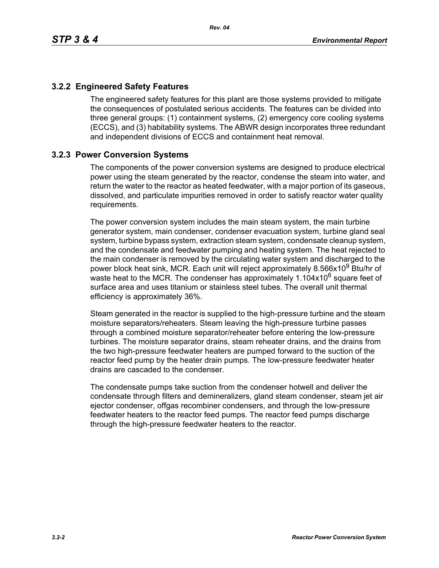## **3.2.2 Engineered Safety Features**

The engineered safety features for this plant are those systems provided to mitigate the consequences of postulated serious accidents. The features can be divided into three general groups: (1) containment systems, (2) emergency core cooling systems (ECCS), and (3) habitability systems. The ABWR design incorporates three redundant and independent divisions of ECCS and containment heat removal.

## **3.2.3 Power Conversion Systems**

The components of the power conversion systems are designed to produce electrical power using the steam generated by the reactor, condense the steam into water, and return the water to the reactor as heated feedwater, with a major portion of its gaseous, dissolved, and particulate impurities removed in order to satisfy reactor water quality requirements.

The power conversion system includes the main steam system, the main turbine generator system, main condenser, condenser evacuation system, turbine gland seal system, turbine bypass system, extraction steam system, condensate cleanup system, and the condensate and feedwater pumping and heating system. The heat rejected to the main condenser is removed by the circulating water system and discharged to the power block heat sink, MCR. Each unit will reject approximately 8.566x10<sup>9</sup> Btu/hr of waste heat to the MCR. The condenser has approximately  $1.104x10^6$  square feet of surface area and uses titanium or stainless steel tubes. The overall unit thermal efficiency is approximately 36%.

Steam generated in the reactor is supplied to the high-pressure turbine and the steam moisture separators/reheaters. Steam leaving the high-pressure turbine passes through a combined moisture separator/reheater before entering the low-pressure turbines. The moisture separator drains, steam reheater drains, and the drains from the two high-pressure feedwater heaters are pumped forward to the suction of the reactor feed pump by the heater drain pumps. The low-pressure feedwater heater drains are cascaded to the condenser.

The condensate pumps take suction from the condenser hotwell and deliver the condensate through filters and demineralizers, gland steam condenser, steam jet air ejector condenser, offgas recombiner condensers, and through the low-pressure feedwater heaters to the reactor feed pumps. The reactor feed pumps discharge through the high-pressure feedwater heaters to the reactor.